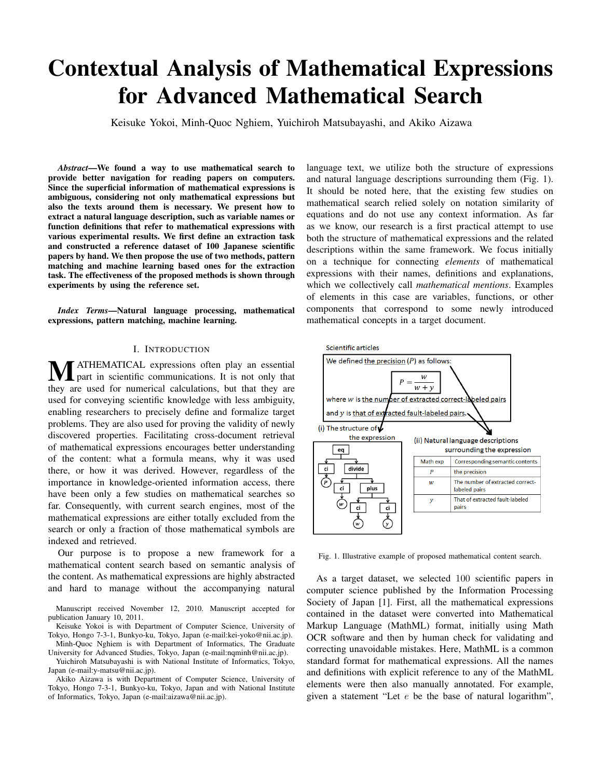# Contextual Analysis of Mathematical Expressions for Advanced Mathematical Search

Keisuke Yokoi, Minh-Quoc Nghiem, Yuichiroh Matsubayashi, and Akiko Aizawa

*Abstract*—We found a way to use mathematical search to provide better navigation for reading papers on computers. Since the superficial information of mathematical expressions is ambiguous, considering not only mathematical expressions but also the texts around them is necessary. We present how to extract a natural language description, such as variable names or function definitions that refer to mathematical expressions with various experimental results. We first define an extraction task and constructed a reference dataset of 100 Japanese scientific papers by hand. We then propose the use of two methods, pattern matching and machine learning based ones for the extraction task. The effectiveness of the proposed methods is shown through experiments by using the reference set.

*Index Terms*—Natural language processing, mathematical expressions, pattern matching, machine learning.

# I. INTRODUCTION

**MATHEMATICAL** expressions often play an essential<br>that part in scientific communications. It is not only that they are used for numerical calculations, but that they are used for conveying scientific knowledge with less ambiguity, enabling researchers to precisely define and formalize target problems. They are also used for proving the validity of newly discovered properties. Facilitating cross-document retrieval of mathematical expressions encourages better understanding of the content: what a formula means, why it was used there, or how it was derived. However, regardless of the importance in knowledge-oriented information access, there have been only a few studies on mathematical searches so far. Consequently, with current search engines, most of the mathematical expressions are either totally excluded from the search or only a fraction of those mathematical symbols are indexed and retrieved.

Our purpose is to propose a new framework for a mathematical content search based on semantic analysis of the content. As mathematical expressions are highly abstracted and hard to manage without the accompanying natural

Manuscript received November 12, 2010. Manuscript accepted for publication January 10, 2011.

Keisuke Yokoi is with Department of Computer Science, University of Tokyo, Hongo 7-3-1, Bunkyo-ku, Tokyo, Japan (e-mail:kei-yoko@nii.ac.jp). Minh-Quoc Nghiem is with Department of Informatics, The Graduate

University for Advanced Studies, Tokyo, Japan (e-mail:nqminh@nii.ac.jp).

Yuichiroh Matsubayashi is with National Institute of Informatics, Tokyo, Japan (e-mail:y-matsu@nii.ac.jp).

Akiko Aizawa is with Department of Computer Science, University of Tokyo, Hongo 7-3-1, Bunkyo-ku, Tokyo, Japan and with National Institute of Informatics, Tokyo, Japan (e-mail:aizawa@nii.ac.jp).

language text, we utilize both the structure of expressions and natural language descriptions surrounding them (Fig. 1). It should be noted here, that the existing few studies on mathematical search relied solely on notation similarity of equations and do not use any context information. As far as we know, our research is a first practical attempt to use both the structure of mathematical expressions and the related descriptions within the same framework. We focus initially on a technique for connecting *elements* of mathematical expressions with their names, definitions and explanations, which we collectively call *mathematical mentions*. Examples of elements in this case are variables, functions, or other components that correspond to some newly introduced mathematical concepts in a target document.



Fig. 1. Illustrative example of proposed mathematical content search.

As a target dataset, we selected 100 scientific papers in computer science published by the Information Processing Society of Japan [1]. First, all the mathematical expressions contained in the dataset were converted into Mathematical Markup Language (MathML) format, initially using Math OCR software and then by human check for validating and correcting unavoidable mistakes. Here, MathML is a common standard format for mathematical expressions. All the names and definitions with explicit reference to any of the MathML elements were then also manually annotated. For example, given a statement "Let  $e$  be the base of natural logarithm",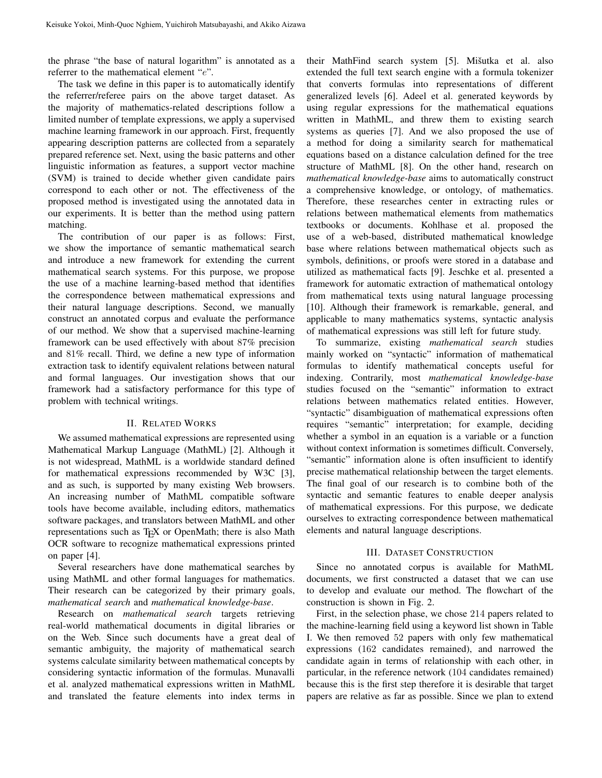the phrase "the base of natural logarithm" is annotated as a referrer to the mathematical element "e".

The task we define in this paper is to automatically identify the referrer/referee pairs on the above target dataset. As the majority of mathematics-related descriptions follow a limited number of template expressions, we apply a supervised machine learning framework in our approach. First, frequently appearing description patterns are collected from a separately prepared reference set. Next, using the basic patterns and other linguistic information as features, a support vector machine (SVM) is trained to decide whether given candidate pairs correspond to each other or not. The effectiveness of the proposed method is investigated using the annotated data in our experiments. It is better than the method using pattern matching.

The contribution of our paper is as follows: First, we show the importance of semantic mathematical search and introduce a new framework for extending the current mathematical search systems. For this purpose, we propose the use of a machine learning-based method that identifies the correspondence between mathematical expressions and their natural language descriptions. Second, we manually construct an annotated corpus and evaluate the performance of our method. We show that a supervised machine-learning framework can be used effectively with about 87% precision and 81% recall. Third, we define a new type of information extraction task to identify equivalent relations between natural and formal languages. Our investigation shows that our framework had a satisfactory performance for this type of problem with technical writings.

# II. RELATED WORKS

We assumed mathematical expressions are represented using Mathematical Markup Language (MathML) [2]. Although it is not widespread, MathML is a worldwide standard defined for mathematical expressions recommended by W3C [3], and as such, is supported by many existing Web browsers. An increasing number of MathML compatible software tools have become available, including editors, mathematics software packages, and translators between MathML and other representations such as T<sub>E</sub>X or OpenMath; there is also Math OCR software to recognize mathematical expressions printed on paper [4].

Several researchers have done mathematical searches by using MathML and other formal languages for mathematics. Their research can be categorized by their primary goals, *mathematical search* and *mathematical knowledge-base*.

Research on *mathematical search* targets retrieving real-world mathematical documents in digital libraries or on the Web. Since such documents have a great deal of semantic ambiguity, the majority of mathematical search systems calculate similarity between mathematical concepts by considering syntactic information of the formulas. Munavalli et al. analyzed mathematical expressions written in MathML and translated the feature elements into index terms in

their MathFind search system [5]. Mišutka et al. also extended the full text search engine with a formula tokenizer that converts formulas into representations of different generalized levels [6]. Adeel et al. generated keywords by using regular expressions for the mathematical equations written in MathML, and threw them to existing search systems as queries [7]. And we also proposed the use of a method for doing a similarity search for mathematical equations based on a distance calculation defined for the tree structure of MathML [8]. On the other hand, research on *mathematical knowledge-base* aims to automatically construct a comprehensive knowledge, or ontology, of mathematics. Therefore, these researches center in extracting rules or relations between mathematical elements from mathematics textbooks or documents. Kohlhase et al. proposed the use of a web-based, distributed mathematical knowledge base where relations between mathematical objects such as symbols, definitions, or proofs were stored in a database and utilized as mathematical facts [9]. Jeschke et al. presented a framework for automatic extraction of mathematical ontology from mathematical texts using natural language processing [10]. Although their framework is remarkable, general, and applicable to many mathematics systems, syntactic analysis of mathematical expressions was still left for future study.

To summarize, existing *mathematical search* studies mainly worked on "syntactic" information of mathematical formulas to identify mathematical concepts useful for indexing. Contrarily, most *mathematical knowledge-base* studies focused on the "semantic" information to extract relations between mathematics related entities. However, "syntactic" disambiguation of mathematical expressions often requires "semantic" interpretation; for example, deciding whether a symbol in an equation is a variable or a function without context information is sometimes difficult. Conversely, "semantic" information alone is often insufficient to identify precise mathematical relationship between the target elements. The final goal of our research is to combine both of the syntactic and semantic features to enable deeper analysis of mathematical expressions. For this purpose, we dedicate ourselves to extracting correspondence between mathematical elements and natural language descriptions.

## III. DATASET CONSTRUCTION

Since no annotated corpus is available for MathML documents, we first constructed a dataset that we can use to develop and evaluate our method. The flowchart of the construction is shown in Fig. 2.

First, in the selection phase, we chose 214 papers related to the machine-learning field using a keyword list shown in Table I. We then removed 52 papers with only few mathematical expressions (162 candidates remained), and narrowed the candidate again in terms of relationship with each other, in particular, in the reference network (104 candidates remained) because this is the first step therefore it is desirable that target papers are relative as far as possible. Since we plan to extend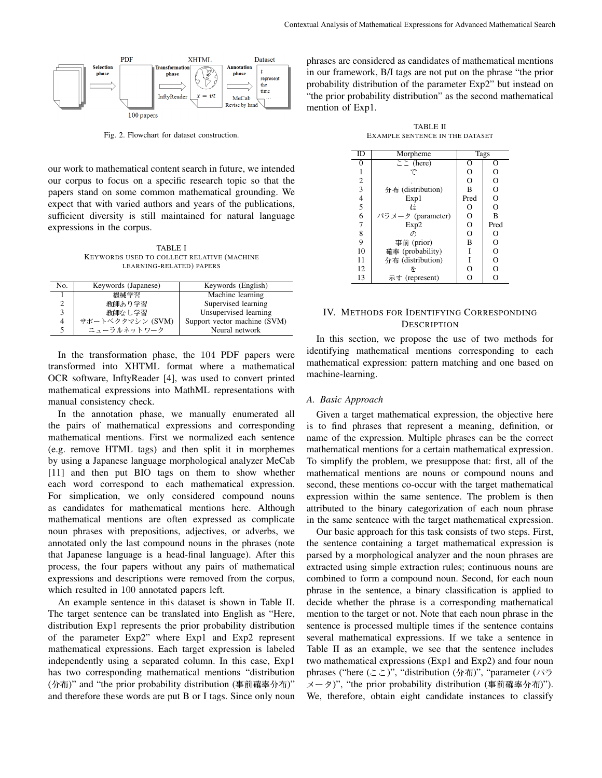

Fig. 2. Flowchart for dataset construction.

our work to mathematical content search in future, we intended our corpus to focus on a specific research topic so that the papers stand on some common mathematical grounding. We expect that with varied authors and years of the publications, sufficient diversity is still maintained for natural language expressions in the corpus.

TABLE I KEYWORDS USED TO COLLECT RELATIVE (MACHINE LEARNING-RELATED) PAPERS

| No. | Keywords (Japanese) | Keywords (English)           |
|-----|---------------------|------------------------------|
|     | 機械学習                | Machine learning             |
|     | 教師あり学習              | Supervised learning          |
| 3   | 教師なし学習              | Unsupervised learning        |
| 4   | サポートベクタマシン (SVM)    | Support vector machine (SVM) |
| 5   | ニューラルネットワーク         | Neural network               |

In the transformation phase, the 104 PDF papers were transformed into XHTML format where a mathematical OCR software, InftyReader [4], was used to convert printed mathematical expressions into MathML representations with manual consistency check.

In the annotation phase, we manually enumerated all the pairs of mathematical expressions and corresponding mathematical mentions. First we normalized each sentence (e.g. remove HTML tags) and then split it in morphemes by using a Japanese language morphological analyzer MeCab [11] and then put BIO tags on them to show whether each word correspond to each mathematical expression. For simplication, we only considered compound nouns as candidates for mathematical mentions here. Although mathematical mentions are often expressed as complicate noun phrases with prepositions, adjectives, or adverbs, we annotated only the last compound nouns in the phrases (note that Japanese language is a head-final language). After this process, the four papers without any pairs of mathematical expressions and descriptions were removed from the corpus, which resulted in 100 annotated papers left.

An example sentence in this dataset is shown in Table II. The target sentence can be translated into English as "Here, distribution Exp1 represents the prior probability distribution of the parameter Exp2" where Exp1 and Exp2 represent mathematical expressions. Each target expression is labeled independently using a separated column. In this case, Exp1 has two corresponding mathematical mentions "distribution (分布)" and "the prior probability distribution (事前確率分布)" and therefore these words are put B or I tags. Since only noun

phrases are considered as candidates of mathematical mentions in our framework, B/I tags are not put on the phrase "the prior probability distribution of the parameter Exp2" but instead on "the prior probability distribution" as the second mathematical mention of Exp1.

TABLE II EXAMPLE SENTENCE IN THE DATASET

| ID                      | Morpheme                    | Tags     |                |  |
|-------------------------|-----------------------------|----------|----------------|--|
| 0                       | $\overline{\subset}$ (here) | O        | О              |  |
| 1                       | 7.                          | O        | O              |  |
| $\mathfrak{2}$          |                             | $\Omega$ | $\overline{O}$ |  |
| $\overline{\mathbf{3}}$ | 分布 (distribution)           | B        | $\overline{O}$ |  |
| $\overline{4}$          | Exp1                        | Pred     | $\overline{O}$ |  |
| 5                       | ŀÌ                          | О        | $\overline{O}$ |  |
| 6                       | パラメータ (parameter)           | O        | B              |  |
| 7                       | Exp2                        | O        | Pred           |  |
| 8                       | の                           | $\Omega$ | O              |  |
| 9                       | 事前 (prior)                  | B        | $\overline{O}$ |  |
| 10                      | 確率 (probability)            | Ī        | $\overline{O}$ |  |
| 11                      | 分布 (distribution)           |          | $\overline{O}$ |  |
| 12                      |                             | O        | O              |  |
| 13                      | 示す (represent)              |          | O              |  |

## IV. METHODS FOR IDENTIFYING CORRESPONDING **DESCRIPTION**

In this section, we propose the use of two methods for identifying mathematical mentions corresponding to each mathematical expression: pattern matching and one based on machine-learning.

## *A. Basic Approach*

Given a target mathematical expression, the objective here is to find phrases that represent a meaning, definition, or name of the expression. Multiple phrases can be the correct mathematical mentions for a certain mathematical expression. To simplify the problem, we presuppose that: first, all of the mathematical mentions are nouns or compound nouns and second, these mentions co-occur with the target mathematical expression within the same sentence. The problem is then attributed to the binary categorization of each noun phrase in the same sentence with the target mathematical expression.

Our basic approach for this task consists of two steps. First, the sentence containing a target mathematical expression is parsed by a morphological analyzer and the noun phrases are extracted using simple extraction rules; continuous nouns are combined to form a compound noun. Second, for each noun phrase in the sentence, a binary classification is applied to decide whether the phrase is a corresponding mathematical mention to the target or not. Note that each noun phrase in the sentence is processed multiple times if the sentence contains several mathematical expressions. If we take a sentence in Table II as an example, we see that the sentence includes two mathematical expressions (Exp1 and Exp2) and four noun phrases ("here  $(\geq \geq)$ ", "distribution (分布)", "parameter (パラ  $\frac{\partial \mathcal{L}}{\partial \mathcal{L}}$   $\frac{\partial \mathcal{L}}{\partial \mathcal{L}}$  (the prior probability distribution (事前確率分布)"). We, therefore, obtain eight candidate instances to classify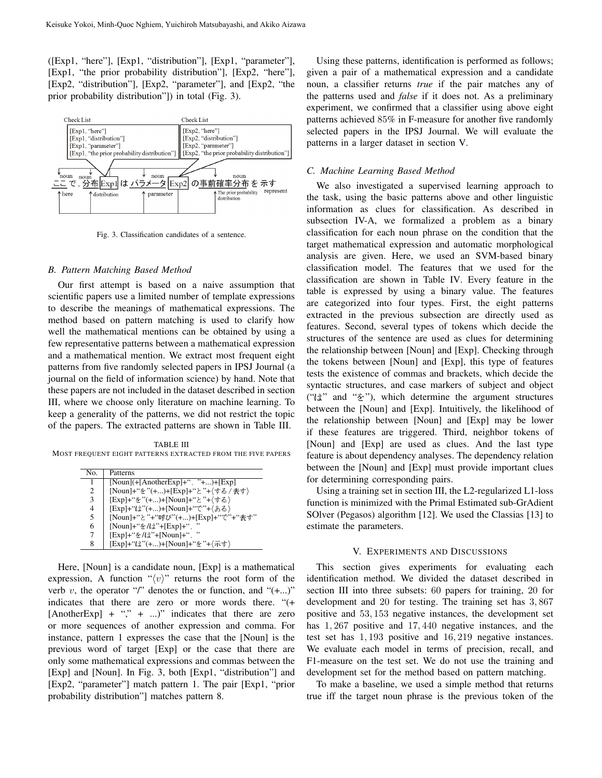([Exp1, "here"], [Exp1, "distribution"], [Exp1, "parameter"], [Exp1, "the prior probability distribution"], [Exp2, "here"], [Exp2, "distribution"], [Exp2, "parameter"], and [Exp2, "the prior probability distribution"]) in total (Fig. 3).



Fig. 3. Classification candidates of a sentence.

## *B. Pattern Matching Based Method*

Our first attempt is based on a naive assumption that scientific papers use a limited number of template expressions to describe the meanings of mathematical expressions. The method based on pattern matching is used to clarify how well the mathematical mentions can be obtained by using a few representative patterns between a mathematical expression and a mathematical mention. We extract most frequent eight patterns from five randomly selected papers in IPSJ Journal (a journal on the field of information science) by hand. Note that these papers are not included in the dataset described in section III, where we choose only literature on machine learning. To keep a generality of the patterns, we did not restrict the topic of the papers. The extracted patterns are shown in Table III.

TABLE III MOST FREQUENT EIGHT PATTERNS EXTRACTED FROM THE FIVE PAPERS

| No.            | Patterns                                    |
|----------------|---------------------------------------------|
| 1              | $[Noun]$ (+ $[AnotherExp]$ +", "+)+ $[Exp]$ |
| 2              | [Noun]+"を"(+)+[Exp]+"と"+〈する/表す〉             |
| 3              | [Exp]+"を"(+)+[Noun]+"と"+〈する〉                |
| $\overline{4}$ | [Exp]+"は"(+)+[Noun]+"で"+(ある)                |
| 5              | [Noun]+"と"+"呼び"(+)+[Exp]+"で"+"表す"           |
| 6              | [Noun]+"を/は"+[Exp]+"<br>,,                  |
| 7              | [Exp]+"を/は"+[Noun]+"                        |
| 8              | [Exp]+"は"(+)+[Noun]+"を"+(示す)                |

Here, [Noun] is a candidate noun, [Exp] is a mathematical expression, A function " $\langle v \rangle$ " returns the root form of the verb v, the operator "/" denotes the or function, and " $(+...)$ " indicates that there are zero or more words there. "(+  $[AnotherExp] + "," + ..."$  indicates that there are zero or more sequences of another expression and comma. For instance, pattern 1 expresses the case that the [Noun] is the previous word of target [Exp] or the case that there are only some mathematical expressions and commas between the [Exp] and [Noun]. In Fig. 3, both [Exp1, "distribution"] and [Exp2, "parameter"] match pattern 1. The pair [Exp1, "prior probability distribution"] matches pattern 8.

Using these patterns, identification is performed as follows; given a pair of a mathematical expression and a candidate noun, a classifier returns *true* if the pair matches any of the patterns used and *false* if it does not. As a preliminary experiment, we confirmed that a classifier using above eight patterns achieved 85% in F-measure for another five randomly selected papers in the IPSJ Journal. We will evaluate the patterns in a larger dataset in section V.

### *C. Machine Learning Based Method*

We also investigated a supervised learning approach to the task, using the basic patterns above and other linguistic information as clues for classification. As described in subsection IV-A, we formalized a problem as a binary classification for each noun phrase on the condition that the target mathematical expression and automatic morphological analysis are given. Here, we used an SVM-based binary classification model. The features that we used for the classification are shown in Table IV. Every feature in the table is expressed by using a binary value. The features are categorized into four types. First, the eight patterns extracted in the previous subsection are directly used as features. Second, several types of tokens which decide the structures of the sentence are used as clues for determining the relationship between [Noun] and [Exp]. Checking through the tokens between [Noun] and [Exp], this type of features tests the existence of commas and brackets, which decide the syntactic structures, and case markers of subject and object (" $\downarrow$ " and " $\ge$ "), which determine the argument structures between the [Noun] and [Exp]. Intuitively, the likelihood of the relationship between [Noun] and [Exp] may be lower if these features are triggered. Third, neighbor tokens of [Noun] and [Exp] are used as clues. And the last type feature is about dependency analyses. The dependency relation between the [Noun] and [Exp] must provide important clues for determining corresponding pairs.

Using a training set in section III, the L2-regularized L1-loss function is minimized with the Primal Estimated sub-GrAdient SOlver (Pegasos) algorithm [12]. We used the Classias [13] to estimate the parameters.

### V. EXPERIMENTS AND DISCUSSIONS

This section gives experiments for evaluating each identification method. We divided the dataset described in section III into three subsets: 60 papers for training, 20 for development and 20 for testing. The training set has 3, 867 positive and 53, 153 negative instances, the development set has  $1,267$  positive and  $17,440$  negative instances, and the test set has 1, 193 positive and 16, 219 negative instances. We evaluate each model in terms of precision, recall, and F1-measure on the test set. We do not use the training and development set for the method based on pattern matching.

To make a baseline, we used a simple method that returns true iff the target noun phrase is the previous token of the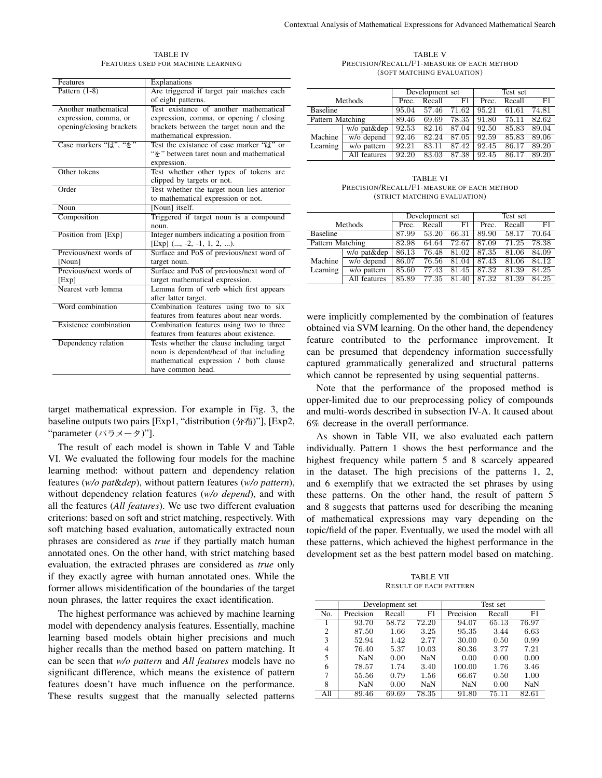| <b>Features</b>          | Explanations                               |
|--------------------------|--------------------------------------------|
| Pattern $(1-8)$          | Are triggered if target pair matches each  |
|                          | of eight patterns.                         |
| Another mathematical     | Test existance of another mathematical     |
| expression, comma, or    | expression, comma, or opening / closing    |
| opening/closing brackets | brackets between the target noun and the   |
|                          | mathematical expression.                   |
| Case markers "it", "*"   | Test the existance of case marker "it" or  |
|                          | " * "between taret noun and mathematical   |
|                          | expression.                                |
| Other tokens             | Test whether other types of tokens are     |
|                          | clipped by targets or not.                 |
| Order                    | Test whether the target noun lies anterior |
|                          | to mathematical expression or not.         |
| Noun                     | [Noun] itself.                             |
| Composition              | Triggered if target noun is a compound     |
|                          | noun.                                      |
| Position from [Exp]      | Integer numbers indicating a position from |
|                          | [Exp] $(, -2, -1, 1, 2, ).$                |
| Previous/next words of   | Surface and PoS of previous/next word of   |
| [Noun]                   | target noun.                               |
| Previous/next words of   | Surface and PoS of previous/next word of   |
| [Exp]                    | target mathematical expression.            |
| Nearest verb lemma       | Lemma form of verb which first appears     |
|                          | after latter target.                       |
| Word combination         | Combination features using two to six      |
|                          | features from features about near words.   |
| Existence combination    | Combination features using two to three    |
|                          | features from features about existence.    |
| Dependency relation      | Tests whether the clause including target  |
|                          | noun is dependent/head of that including   |
|                          | mathematical expression / both clause      |
|                          | have common head.                          |

TABLE IV FEATURES USED FOR MACHINE LEARNING

target mathematical expression. For example in Fig. 3, the baseline outputs two pairs [Exp1, "distribution  $(\nexists \pi)$ "], [Exp2, "parameter  $(\land \exists \times -\land)$ "].

The result of each model is shown in Table V and Table VI. We evaluated the following four models for the machine learning method: without pattern and dependency relation features (*w/o pat*&*dep*), without pattern features (*w/o pattern*), without dependency relation features (*w/o depend*), and with all the features (*All features*). We use two different evaluation criterions: based on soft and strict matching, respectively. With soft matching based evaluation, automatically extracted noun phrases are considered as *true* if they partially match human annotated ones. On the other hand, with strict matching based evaluation, the extracted phrases are considered as *true* only if they exactly agree with human annotated ones. While the former allows misidentification of the boundaries of the target noun phrases, the latter requires the exact identification.

The highest performance was achieved by machine learning model with dependency analysis features. Essentially, machine learning based models obtain higher precisions and much higher recalls than the method based on pattern matching. It can be seen that *w/o pattern* and *All features* models have no significant difference, which means the existence of pattern features doesn't have much influence on the performance. These results suggest that the manually selected patterns

TABLE V PRECISION/RECALL/F1-MEASURE OF EACH METHOD (SOFT MATCHING EVALUATION)

|                  |              | Development set |        |       | Test set            |        |       |
|------------------|--------------|-----------------|--------|-------|---------------------|--------|-------|
| Methods          |              | Prec.           | Recall | F1    | $\overline{P}$ rec. | Recall | F1    |
| <b>Baseline</b>  |              | 95.04           | 57.46  | 71.62 | 95.21               | 61.61  | 74.81 |
| Pattern Matching |              | 89.46           | 69.69  | 78.35 | 91.80               | 75.11  | 82.62 |
|                  | w/o pat&dep  | 92.53           | 82.16  | 87.04 | 92.50               | 85.83  | 89.04 |
| Machine          | w/o depend   | 92.46           | 82.24  | 87.05 | 92.59               | 85.83  | 89.06 |
| Learning         | w/o pattern  | 92.21           | 83.11  | 87.42 | 92.45               | 86.17  | 89.20 |
|                  | All features | 92.20           | 83.03  | 87.38 | 92.45               | 86.17  | 89.20 |

TABLE VI PRECISION/RECALL/F1-MEASURE OF EACH METHOD (STRICT MATCHING EVALUATION)

|                     |              | Development set |        |       | Test set |        |       |
|---------------------|--------------|-----------------|--------|-------|----------|--------|-------|
| Methods             |              | Prec.           | Recall | F1    | Prec.    | Recall | F1    |
| <b>Baseline</b>     |              | 87.99           | 53.20  | 66.31 | 89.90    | 58.17  | 70.64 |
| Pattern Matching    |              | 82.98           | 64.64  | 72.67 | 87.09    | 71.25  | 78.38 |
|                     | w/o pat&dep  | 86.13           | 76.48  | 81.02 | 87.35    | 81.06  | 84.09 |
| Machine<br>Learning | w/o depend   | 86.07           | 76.56  | 81.04 | 87.43    | 81.06  | 84.12 |
|                     | w/o pattern  | 85.60           | 77.43  | 81.45 | 87.32    | 81.39  | 84.25 |
|                     | All features | 85.89           | 77.35  | 81.40 | 87.32    | 81.39  | 84.25 |

were implicitly complemented by the combination of features obtained via SVM learning. On the other hand, the dependency feature contributed to the performance improvement. It can be presumed that dependency information successfully captured grammatically generalized and structural patterns which cannot be represented by using sequential patterns.

Note that the performance of the proposed method is upper-limited due to our preprocessing policy of compounds and multi-words described in subsection IV-A. It caused about 6% decrease in the overall performance.

As shown in Table VII, we also evaluated each pattern individually. Pattern 1 shows the best performance and the highest frequency while pattern 5 and 8 scarcely appeared in the dataset. The high precisions of the patterns 1, 2, and 6 exemplify that we extracted the set phrases by using these patterns. On the other hand, the result of pattern 5 and 8 suggests that patterns used for describing the meaning of mathematical expressions may vary depending on the topic/field of the paper. Eventually, we used the model with all these patterns, which achieved the highest performance in the development set as the best pattern model based on matching.

TABLE VII RESULT OF EACH PATTERN

|                | Development set |        |       | Test set  |        |       |  |
|----------------|-----------------|--------|-------|-----------|--------|-------|--|
| No.            | Precision       | Recall | F1    | Precision | Recall | F1    |  |
|                | 93.70           | 58.72  | 72.20 | 94.07     | 65.13  | 76.97 |  |
| $\overline{c}$ | 87.50           | 1.66   | 3.25  | 95.35     | 3.44   | 6.63  |  |
| 3              | 52.94           | 1.42   | 2.77  | 30.00     | 0.50   | 0.99  |  |
| 4              | 76.40           | 5.37   | 10.03 | 80.36     | 3.77   | 7.21  |  |
| 5              | <b>NaN</b>      | 0.00   | NaN   | 0.00      | 0.00   | 0.00  |  |
| 6              | 78.57           | 1.74   | 3.40  | 100.00    | 1.76   | 3.46  |  |
| 7              | 55.56           | 0.79   | 1.56  | 66.67     | 0.50   | 1.00  |  |
| 8              | NaN             | 0.00   | NaN   | NaN       | 0.00   | NaN   |  |
| All            | 89.46           | 69.69  | 78.35 | 91.80     | 75.11  | 82.61 |  |